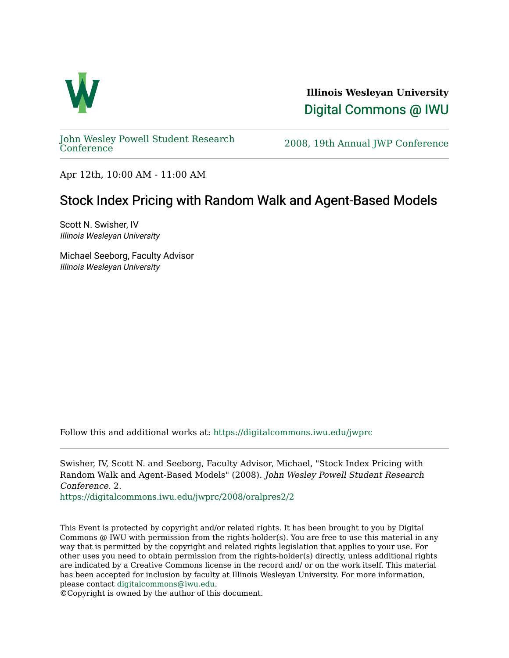

**Illinois Wesleyan University**  [Digital Commons @ IWU](https://digitalcommons.iwu.edu/) 

[John Wesley Powell Student Research](https://digitalcommons.iwu.edu/jwprc) 

2008, 19th Annual JWP [Conference](https://digitalcommons.iwu.edu/jwprc)

Apr 12th, 10:00 AM - 11:00 AM

## Stock Index Pricing with Random Walk and Agent-Based Models

Scott N. Swisher, IV Illinois Wesleyan University

Michael Seeborg, Faculty Advisor Illinois Wesleyan University

Follow this and additional works at: [https://digitalcommons.iwu.edu/jwprc](https://digitalcommons.iwu.edu/jwprc?utm_source=digitalcommons.iwu.edu%2Fjwprc%2F2008%2Foralpres2%2F2&utm_medium=PDF&utm_campaign=PDFCoverPages) 

Swisher, IV, Scott N. and Seeborg, Faculty Advisor, Michael, "Stock Index Pricing with Random Walk and Agent-Based Models" (2008). John Wesley Powell Student Research Conference. 2.

[https://digitalcommons.iwu.edu/jwprc/2008/oralpres2/2](https://digitalcommons.iwu.edu/jwprc/2008/oralpres2/2?utm_source=digitalcommons.iwu.edu%2Fjwprc%2F2008%2Foralpres2%2F2&utm_medium=PDF&utm_campaign=PDFCoverPages)

This Event is protected by copyright and/or related rights. It has been brought to you by Digital Commons @ IWU with permission from the rights-holder(s). You are free to use this material in any way that is permitted by the copyright and related rights legislation that applies to your use. For other uses you need to obtain permission from the rights-holder(s) directly, unless additional rights are indicated by a Creative Commons license in the record and/ or on the work itself. This material has been accepted for inclusion by faculty at Illinois Wesleyan University. For more information, please contact [digitalcommons@iwu.edu.](mailto:digitalcommons@iwu.edu)

©Copyright is owned by the author of this document.